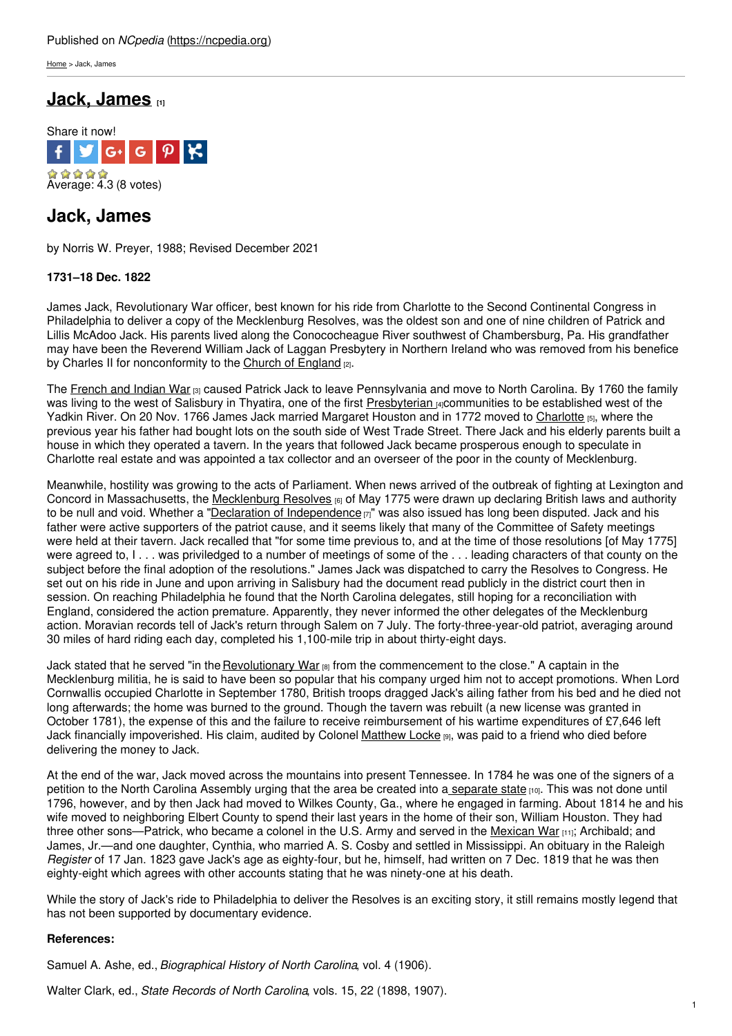[Home](https://ncpedia.org/) > Jack, James

## **Jack, [James](https://ncpedia.org/biography/jack-james) [1]**



# **Jack, James**

by Norris W. Preyer, 1988; Revised December 2021

## **1731–18 Dec. 1822**

James Jack, Revolutionary War officer, best known for his ride from Charlotte to the Second Continental Congress in Philadelphia to deliver a copy of the [Mecklenburg](http://www.social9.com) Resolves, was the oldest son and one of nine children of Patrick and Lillis McAdoo Jack. His parents lived along the Conococheague River southwest of Chambersburg, Pa. His grandfather may have been the Reverend William Jack of Laggan Presbytery in Northern Ireland who was removed from his benefice by Charles II for nonconformity to the Church of [England](https://ncpedia.org/church-england) [2].

The [French](https://ncpedia.org/french-and-indian-war) and Indian War [3] caused Patrick Jack to leave Pennsylvania and move to North Carolina. By 1760 the family was living to the west of Salisbury in Thyatira, one of the first [Presbyterian](https://ncpedia.org/presbyterian-church) [4]Communities to be established west of the Yadkin River. On 20 Nov. 1766 James Jack married Margaret Houston and in 1772 moved to [Charlotte](https://ncpedia.org/charlotte) [5], where the previous year his father had bought lots on the south side of West Trade Street. There Jack and his elderly parents built a house in which they operated a tavern. In the years that followed Jack became prosperous enough to speculate in Charlotte real estate and was appointed a tax collector and an overseer of the poor in the county of Mecklenburg.

Meanwhile, hostility was growing to the acts of Parliament. When news arrived of the outbreak of fighting at Lexington and Concord in Massachusetts, the [Mecklenburg](https://ncpedia.org/resolves-prerevolutionary) Resolves [6] of May 1775 were drawn up declaring British laws and authority to be null and void. Whether a "Declaration of [Independence](https://ncpedia.org/mecklenburg-declaration)  $[7]$ " was also issued has long been disputed. Jack and his father were active supporters of the patriot cause, and it seems likely that many of the Committee of Safety meetings were held at their tavern. Jack recalled that "for some time previous to, and at the time of those resolutions [of May 1775] were agreed to, I... was priviledged to a number of meetings of some of the ... leading characters of that county on the subject before the final adoption of the resolutions." James Jack was dispatched to carry the Resolves to Congress. He set out on his ride in June and upon arriving in Salisbury had the document read publicly in the district court then in session. On reaching Philadelphia he found that the North Carolina delegates, still hoping for a reconciliation with England, considered the action premature. Apparently, they never informed the other delegates of the Mecklenburg action. Moravian records tell of Jack's return through Salem on 7 July. The forty-three-year-old patriot, averaging around 30 miles of hard riding each day, completed his 1,100-mile trip in about thirty-eight days.

Jack stated that he served "in the [Revolutionary](https://ncpedia.org/american-revolution) War [8] from the commencement to the close." A captain in the Mecklenburg militia, he is said to have been so popular that his company urged him not to accept promotions. When Lord Cornwallis occupied Charlotte in September 1780, British troops dragged Jack's ailing father from his bed and he died not long afterwards; the home was burned to the ground. Though the tavern was rebuilt (a new license was granted in October 1781), the expense of this and the failure to receive reimbursement of his wartime expenditures of £7,646 left Jack financially impoverished. His claim, audited by Colonel [Matthew](https://ncpedia.org/biography/locke-matthew) Locke [9], was paid to a friend who died before delivering the money to Jack.

At the end of the war, Jack moved across the mountains into present Tennessee. In 1784 he was one of the signers of a petition to the North Carolina Assembly urging that the area be created into a [separate](https://ncpedia.org/tennessee-formation) state [10]. This was not done until 1796, however, and by then Jack had moved to Wilkes County, Ga., where he engaged in farming. About 1814 he and his wife moved to neighboring Elbert County to spend their last years in the home of their son, William Houston. They had three other sons—Patrick, who became a colonel in the U.S. Army and served in the [Mexican](https://ncpedia.org/mexican-war) War [11]; Archibald; and James, Jr.—and one daughter, Cynthia, who married A. S. Cosby and settled in Mississippi. An obituary in the Raleigh *Register* of 17 Jan. 1823 gave Jack's age as eighty-four, but he, himself, had written on 7 Dec. 1819 that he was then eighty-eight which agrees with other accounts stating that he was ninety-one at his death.

While the story of Jack's ride to Philadelphia to deliver the Resolves is an exciting story, it still remains mostly legend that has not been supported by documentary evidence.

## **References:**

Samuel A. Ashe, ed., *Biographical History of North Carolina*, vol. 4 (1906).

Walter Clark, ed., *State Records of North Carolina*, vols. 15, 22 (1898, 1907).